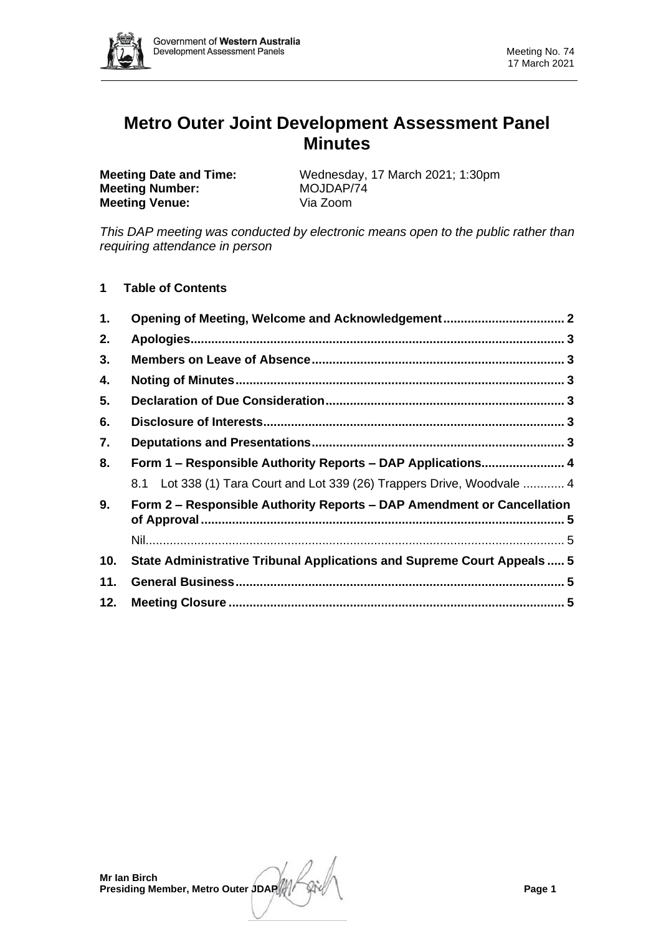

# **Metro Outer Joint Development Assessment Panel Minutes**

**Meeting Number:** MOJDAP/74 **Meeting Venue:** Via Zoom

**Meeting Date and Time:** Wednesday, 17 March 2021; 1:30pm

*This DAP meeting was conducted by electronic means open to the public rather than requiring attendance in person*

**1 Table of Contents**

| 1.  |                                                                         |  |
|-----|-------------------------------------------------------------------------|--|
| 2.  |                                                                         |  |
| 3.  |                                                                         |  |
| 4.  |                                                                         |  |
| 5.  |                                                                         |  |
| 6.  |                                                                         |  |
| 7.  |                                                                         |  |
| 8.  | Form 1 - Responsible Authority Reports - DAP Applications 4             |  |
|     | 8.1 Lot 338 (1) Tara Court and Lot 339 (26) Trappers Drive, Woodvale  4 |  |
| 9.  | Form 2 – Responsible Authority Reports – DAP Amendment or Cancellation  |  |
|     |                                                                         |  |
| 10. | State Administrative Tribunal Applications and Supreme Court Appeals  5 |  |
| 11. |                                                                         |  |
| 12. |                                                                         |  |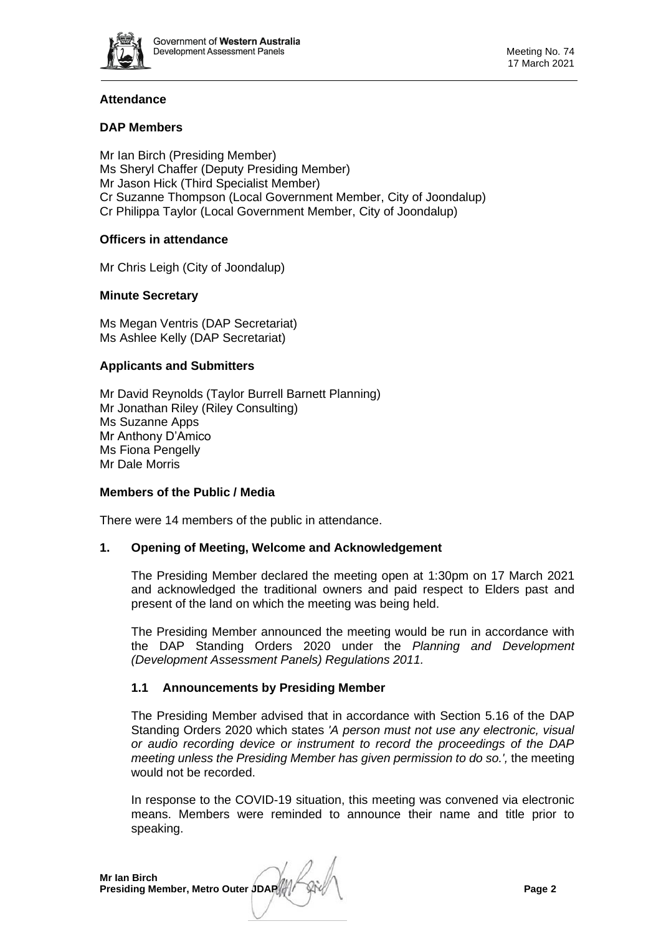

# **Attendance**

# **DAP Members**

Mr Ian Birch (Presiding Member) Ms Sheryl Chaffer (Deputy Presiding Member) Mr Jason Hick (Third Specialist Member) Cr Suzanne Thompson (Local Government Member, City of Joondalup) Cr Philippa Taylor (Local Government Member, City of Joondalup)

# **Officers in attendance**

Mr Chris Leigh (City of Joondalup)

# **Minute Secretary**

Ms Megan Ventris (DAP Secretariat) Ms Ashlee Kelly (DAP Secretariat)

#### **Applicants and Submitters**

Mr David Reynolds (Taylor Burrell Barnett Planning) Mr Jonathan Riley (Riley Consulting) Ms Suzanne Apps Mr Anthony D'Amico Ms Fiona Pengelly Mr Dale Morris

#### **Members of the Public / Media**

<span id="page-1-0"></span>There were 14 members of the public in attendance.

#### **1. Opening of Meeting, Welcome and Acknowledgement**

The Presiding Member declared the meeting open at 1:30pm on 17 March 2021 and acknowledged the traditional owners and paid respect to Elders past and present of the land on which the meeting was being held.

The Presiding Member announced the meeting would be run in accordance with the DAP Standing Orders 2020 under the *Planning and Development (Development Assessment Panels) Regulations 2011.*

# **1.1 Announcements by Presiding Member**

The Presiding Member advised that in accordance with Section 5.16 of the DAP Standing Orders 2020 which states *'A person must not use any electronic, visual or audio recording device or instrument to record the proceedings of the DAP meeting unless the Presiding Member has given permission to do so.',* the meeting would not be recorded.

In response to the COVID-19 situation, this meeting was convened via electronic means. Members were reminded to announce their name and title prior to speaking.

**Mr Ian Birch Presiding Member, Metro Outer JDAP Page 2**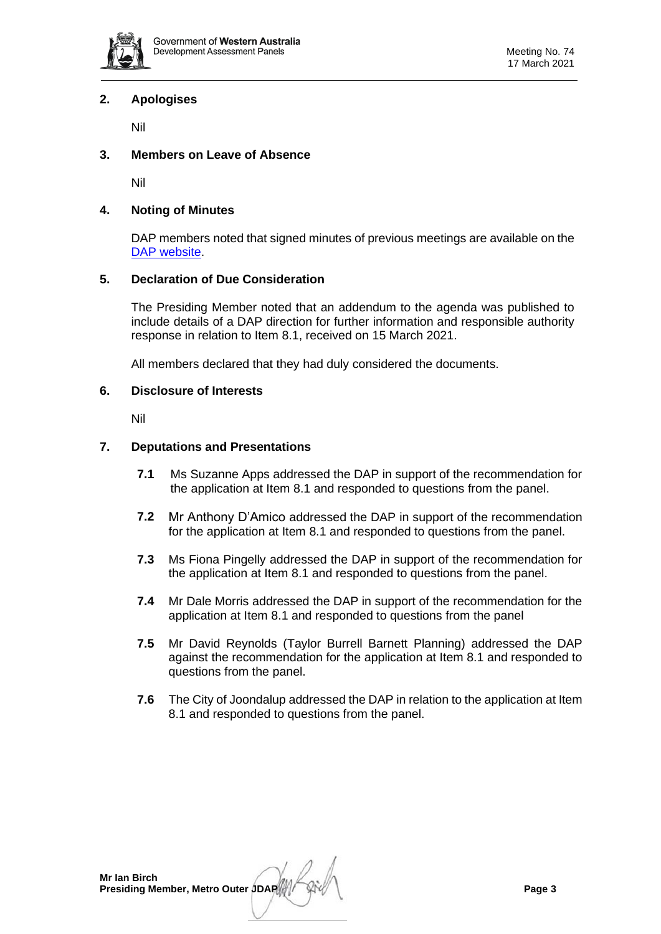

# <span id="page-2-0"></span>**2. Apologises**

Nil

# <span id="page-2-1"></span>**3. Members on Leave of Absence**

Nil

## <span id="page-2-2"></span>**4. Noting of Minutes**

DAP members noted that signed minutes of previous meetings are available on the [DAP website.](https://www.dplh.wa.gov.au/about/development-assessment-panels/daps-agendas-and-minutes)

# <span id="page-2-3"></span>**5. Declaration of Due Consideration**

The Presiding Member noted that an addendum to the agenda was published to include details of a DAP direction for further information and responsible authority response in relation to Item 8.1, received on 15 March 2021.

All members declared that they had duly considered the documents.

#### <span id="page-2-4"></span>**6. Disclosure of Interests**

Nil

#### <span id="page-2-5"></span>**7. Deputations and Presentations**

- **7.1** Ms Suzanne Apps addressed the DAP in support of the recommendation for the application at Item 8.1 and responded to questions from the panel.
- **7.2** Mr Anthony D'Amico addressed the DAP in support of the recommendation for the application at Item 8.1 and responded to questions from the panel.
- **7.3** Ms Fiona Pingelly addressed the DAP in support of the recommendation for the application at Item 8.1 and responded to questions from the panel.
- **7.4** Mr Dale Morris addressed the DAP in support of the recommendation for the application at Item 8.1 and responded to questions from the panel
- **7.5** Mr David Reynolds (Taylor Burrell Barnett Planning) addressed the DAP against the recommendation for the application at Item 8.1 and responded to questions from the panel.
- **7.6** The City of Joondalup addressed the DAP in relation to the application at Item 8.1 and responded to questions from the panel.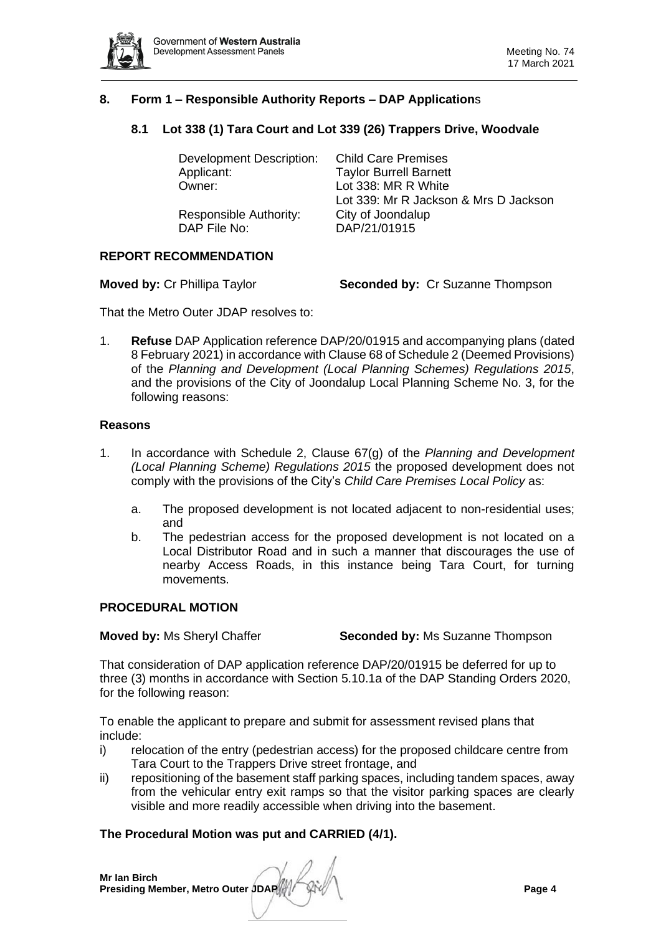

# <span id="page-3-1"></span><span id="page-3-0"></span>**8. Form 1 – Responsible Authority Reports – DAP Application**s

#### **8.1 Lot 338 (1) Tara Court and Lot 339 (26) Trappers Drive, Woodvale**

| Development Description: | <b>Child Care Premises</b>            |  |  |
|--------------------------|---------------------------------------|--|--|
| Applicant:               | <b>Taylor Burrell Barnett</b>         |  |  |
| Owner:                   | Lot 338: MR R White                   |  |  |
|                          | Lot 339: Mr R Jackson & Mrs D Jackson |  |  |
| Responsible Authority:   | City of Joondalup                     |  |  |
| DAP File No:             | DAP/21/01915                          |  |  |

#### **REPORT RECOMMENDATION**

| <b>Moved by: Cr Phillipa Taylor</b> | <b>Seconded by: Cr Suzanne Thompson</b> |
|-------------------------------------|-----------------------------------------|
|-------------------------------------|-----------------------------------------|

That the Metro Outer JDAP resolves to:

1. **Refuse** DAP Application reference DAP/20/01915 and accompanying plans (dated 8 February 2021) in accordance with Clause 68 of Schedule 2 (Deemed Provisions) of the *Planning and Development (Local Planning Schemes) Regulations 2015*, and the provisions of the City of Joondalup Local Planning Scheme No. 3, for the following reasons:

#### **Reasons**

- 1. In accordance with Schedule 2, Clause 67(g) of the *Planning and Development (Local Planning Scheme) Regulations 2015* the proposed development does not comply with the provisions of the City's *Child Care Premises Local Policy* as:
	- a. The proposed development is not located adjacent to non-residential uses; and
	- b. The pedestrian access for the proposed development is not located on a Local Distributor Road and in such a manner that discourages the use of nearby Access Roads, in this instance being Tara Court, for turning movements.

#### **PROCEDURAL MOTION**

**Moved by:** Ms Sheryl Chaffer **Seconded by:** Ms Suzanne Thompson

That consideration of DAP application reference DAP/20/01915 be deferred for up to three (3) months in accordance with Section 5.10.1a of the DAP Standing Orders 2020, for the following reason:

To enable the applicant to prepare and submit for assessment revised plans that include:

- i) relocation of the entry (pedestrian access) for the proposed childcare centre from Tara Court to the Trappers Drive street frontage, and
- ii) repositioning of the basement staff parking spaces, including tandem spaces, away from the vehicular entry exit ramps so that the visitor parking spaces are clearly visible and more readily accessible when driving into the basement.

# **The Procedural Motion was put and CARRIED (4/1).**

**Mr Ian Birch Presiding Member, Metro Outer JDAP Page 4**